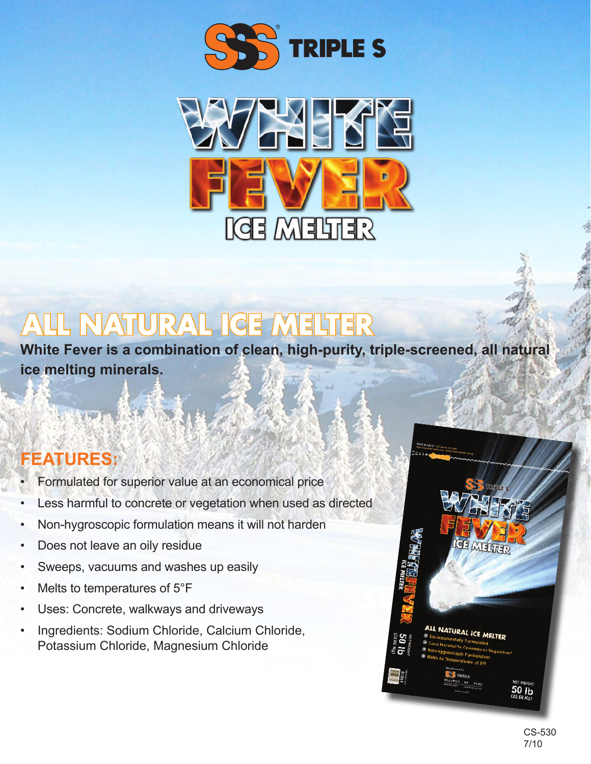



## $\overline{P}$ E  $\sqrt{4}$

**White Fever is a combination of clean, high-purity, triple-screened, all natural ice melting minerals.**

## **FEATURES:**

- Formulated for superior value at an economical price
- Less harmful to concrete or vegetation when used as directed
- Non-hygroscopic formulation means it will not harden
- Does not leave an oily residue
- Sweeps, vacuums and washes up easily
- Melts to temperatures of 5°F
- Uses: Concrete, walkways and driveways
- Ingredients: Sodium Chloride, Calcium Chloride, Potassium Chloride, Magnesium Chloride



50 Ib

**ICE MELTER** 

**ALL NATURAL ICE MELTER**